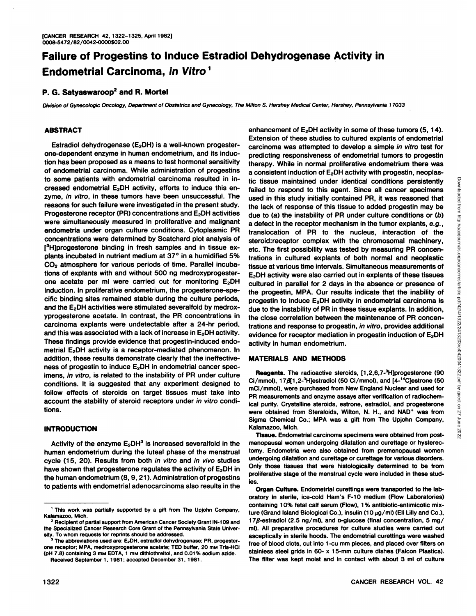# **Failure of Progestins to Induce Estradiol Dehydrogenase Activity in Endometrial Carcinoma, in Vitro<sup>1</sup>**

## **P. G. Satyaswaroop2 and R. Mortel**

Division of Gynecologic Oncology, Department of Obstetrics and Gynecology, The Milton S. Hershey Medical Center, Hershey, Pennsylvania J 7033

## **ABSTRACT**

Estradiol dehydrogenase (E<sub>2</sub>DH) is a well-known progesterone-dependent enzyme in human endometrium, and its induc tion has been proposed as a means to test hormonal sensitivity of endometrial carcinoma. While administration of progestins to some patients with endometrial carcinoma resulted in in creased endometrial E<sub>2</sub>DH activity, efforts to induce this enzyme, in vitro, in these tumors have been unsuccessful. The reasons for such failure were investigated in the present study. Progesterone receptor (PR) concentrations and E2DH activities were simultaneously measured in proliferative and malignant endometria under organ culture conditions. Cytoplasmic PR concentrations were determined by Scatchard plot analysis of [3H]progesterone binding in fresh samples and in tissue explants incubated in nutrient medium at 37° in a humidified 5%  $CO<sub>2</sub>$  atmosphere for various periods of time. Parallel incubations of expiants with and without 500 ng medroxyprogesterone acetate per ml were carried out for monitoring  $E_2$ DH induction. In proliferative endometrium, the progesterone-spe cific binding sites remained stable during the culture periods, and the E<sub>2</sub>DH activities were stimulated severalfold by medroxyprogesterone acetate. In contrast, the PR concentrations in carcinoma expiants were undetectable after a 24-hr period, and this was associated with a lack of increase in  $E_2$ DH activity. These findings provide evidence that progestin-induced endo metrial E<sub>2</sub>DH activity is a receptor-mediated phenomenon. In addition, these results demonstrate clearly that the ineffective ness of progestin to induce  $E_2$ DH in endometrial cancer specimens, in vitro, is related to the instability of PR under culture conditions. It is suggested that any experiment designed to follow effects of steroids on target tissues must take into account the stability of steroid receptors under in vitro conditions.

### **INTRODUCTION**

Activity of the enzyme  $E_2DH^3$  is increased severalfold in the human endometrium during the luteal phase of the menstrual cycle (15, 20). Results from both in vitro and in vivo studies have shown that progesterone regulates the activity of  $E_2$ DH in the human endometrium (8, 9,21). Administration of progestins to patients with endometrial adenocarcinoma also results in the

Received September 1, 1981; accepted December 31, 1981.

enhancement of  $E_2$ DH activity in some of these tumors (5, 14). Extension of these studies to cultured explants of endometrial carcinoma was attempted to develop a simple in vitro test for predicting responsiveness of endometrial tumors to progestin therapy. While in normal proliferative endometrium there was a consistent induction of  $E_2$ DH activity with progestin, neoplastic tissue maintained under identical conditions persistently<br>failed to respond to this agent. Since all cancer specienes<br>the also to find it is support of this itssue to added progestin may be<br>due to (a) the instability failed to respond to this agent. Since all cancer specimens used in this study initially contained PR, it was reasoned that the lack of response of this tissue to added progestin may be due to (a) the instability of PR under culture conditions or (b) a defect in the receptor mechanism in the tumor expiants, e.g., translocation of PR to the nucleus, interaction of the steroid:receptor complex with the chromosomal machinery, etc. The first possibility was tested by measuring PR concentrations in cultured expiants of both normal and neoplastic tissue at various time intervals. Simultaneous measurements of E<sub>2</sub>DH activity were also carried out in explants of these tissues cultured in parallel for 2 days in the absence or presence of the progestin, MPA. Our results indicate that the inability of progestin to induce  $E_2$ DH activity in endometrial carcinoma is due to the instability of PR in these tissue explants. In addition, the close correlation between the maintenance of PR concen trations and response to progestin, in vitro, provides additional evidence for receptor mediation in progestin induction of  $E_2$ DH activity in human endometrium.

## **MATERIALS AND METHODS**

Reagents. The radioactive steroids, [1,2,6,7-3H]progesterone (90 Ci/mmol),  $17\frac{\beta}{12}$ -<sup>3</sup>H]estradiol (50 Ci/mmol), and  $[4-14C]$ estrone (50 mCi/mmol), were purchased from New England Nuclear and used for PR measurements and enzyme assays after verification of radiochemical purity. Crystalline steroids, estrone, estradici, and progesterone were obtained from Steraloids, Wilton, N. H., and NAD+ was from Sigma Chemical Co.; MPA was a gift from The Upjohn Company, Kalamazoo, Mich.

 $\sum_{i=1}^{\infty}$ <br>Tissue. Endometrial carcinoma specimens were obtained from postmenopausal women undergoing dilatation and curettage or hysterec tomy. Endometria were also obtained from premenopausal women undergoing dilatation and curettage or curettage for various disorders. Only those tissues that were histologically determined to be from proliferative stage of the menstrual cycle were included in these stud ies.

Organ Culture. Endometrial curettings were transported to the lab oratory in sterile, ice-cold Ham's F-10 medium (Flow Laboratories) containing 10% fetal calf serum (Flow), 1% antibiotic-antimicotic mixture (Grand Island Biological Co.), insulin (10  $\mu$ g/ml) (Eli Lilly and Co.), 17 $\beta$ -estradiol (2.5 ng/ml), and D-glucose (final concentration, 5 mg/ ml). All preparative procedures for culture studies were carried out asceptically in sterile hoods. The endometrial curettings were washed free of blood clots, cut into 1-cu mm pieces, and placed over filters on stainless steel grids in 60- x 15-mm culture dishes (Falcon Plastics). The filter was kept moist and in contact with about 3 ml of culture

<sup>1</sup>This work was partially supported by a gift from The Upjohn Company, Kalamazoo, Mich.

<sup>2</sup> Recipient of partial support from American Cancer Society Grant IN-109 and the Specialized Cancer Research Core Grant of the Pennsylvania State Univer sity. To whom requests for reprints should be addressed. 3 The abbreviations used are: E. DH. estradici dehydrogenase; PR, progester

one receptor; MPA, medroxyprogesterone acetate; TED buffer, 20 mm Tris-HCI (pH 7.8) containing 3 mm EDTA, 1 mm dithiothreitol, and 0.01% sodium azide.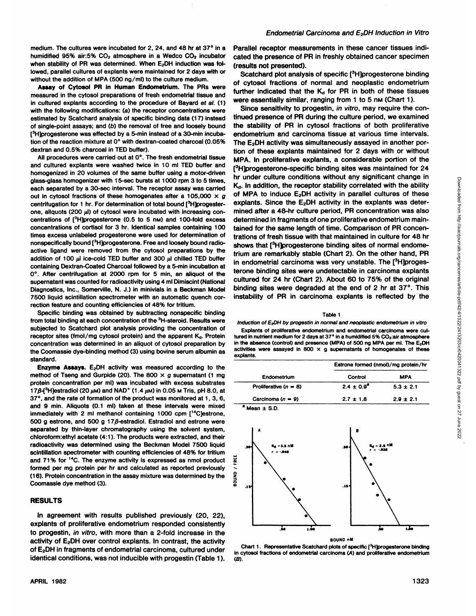medium. The cultures were incubated for 2, 24, and 48 hr at 37° in a humidified 95% air:5%  $CO<sub>2</sub>$  atmosphere in a Wedco  $CO<sub>2</sub>$  incubator when stability of PR was determined. When  $E_2$ DH induction was fol- (results not presented). lowed, parallel cultures of explants were maintained for 2 days with or without the addition of MPA (500 ng/ml) to the culture medium.

**Assay of Cytosol PR in Human Endometrium. The PRs were** measured in the cytosol preparations of fresh endometrial tissue and in cultured expiants according to the procedure of Bayard et al. (1) with the following modifications: (a) the receptor concentrations were estimated by Scatchard analysis of specific binding data (17) instead of single-point assays; and (b) the removal of free and loosely bound [<sup>3</sup>H]progesterone was effected by a 5-min instead of a 30-min incubation of the reaction mixture at 0° with dextran-coated charcoal (0.05% dextran and 0.5% charcoal in TED buffer).

All procedures were carried out at 0°. The fresh endometrial tissue and cultured expiants were washed twice in 10 ml TED buffer and homogenized in 20 volumes of the same buffer using a motor-driven glass-glass homogenizer with 15-sec bursts at 1000 rpm 3 to 5 times, each separated by a 30-sec interval. The receptor assay was carried out in cytosol fractions of these homogenates after a 105,000  $\times$  g centrifugation for 1 hr. For determination of total bound [<sup>3</sup>H]progesterone, aliquots (200  $\mu$ ) of cytosol were incubated with increasing concentrations of  $[^3]$ H]progesterone (0.5 to 5 nm) and 100-fold excess concentrations of cortisol for 3 hr. Identical samples containing 100 times excess unlabeled progesterone were used for determination of nonspecifically bound [<sup>3</sup>H]progesterone. Free and loosely bound radioactive ligand were removed from the cytosol preparations by the addition of 100  $\mu$ l ice-cold TED buffer and 300  $\mu$ l chilled TED buffer containing Dextran-Coated Charcoal followed by a 5-min incubation at 0°. After centrifugation at 2000 rpm for 5 min, an aliquot of the supernatant was counted for radioactivity using 4 ml Dimiscint (National Diagnostics, Inc., Somerville, N. J.) in minivials in a Beckman Model binding sites were degraded at the end of 2 hr at 37°. This 7500 liquid scintillation spectrometer with an automatic quench cor rection feature and counting efficiencies of 48% for tritium.

Specific binding was obtained by subtracting nonspecific binding from total binding at each concentration of the <sup>3</sup>H-steroid. Results were subjected to Scatchard plot analysis providing the concentration of receptor sites (fmol/mg cytosol protein) and the apparent  $K_d$ . Protein concentration was determined in an aliquot of cytosol preparation by the Coomassie dye-binding method (3) using bovine serum albumin as standard.

**Enzyme Assays. E2DH activity was measured according to the** method of Tseng and Gurpide (20). The 800  $\times$  g supernatant (1 mg protein concentration per ml) was incubated with excess substrates 17 $\beta$ -{<sup>3</sup>H]estradiol (20  $\mu$ m) and NAD<sup>+</sup> (1.4  $\mu$ m) in 0.05 m Tris, pH 8.0, at 37°,and the rate of formation of the product was monitored at 1, 3, 6, and 9 min. Aliquots (0.1 ml) taken at these intervals were mixed immediately with 2 ml methanol containing 1000 cpm [14C]estrone, 500 g estrone, and 500 g 17*8*-estradiol. Estradiol and estrone were separated by thin-layer chromatography using the solvent system, chloroform:ethyl acetate (4:1). The products were extracted, and their radioactivity was determined using the Beckman Model 7500 liquid scintillation spectrometer with counting efficiencies of 48% for tritium<br>and 71% for <sup>14</sup>C. The enzyme activity is expressed as nmol product  $\frac{w}{C}$ <br>formed per mg protein per hr and calculated as reported previously and 71% for <sup>14</sup>C. The enzyme activity is expressed as nmol product formed per mg protein per hr and calculated as reported previously<br>(16). Protein concentration in the assay mixture was determined by the  $\frac{2}{5}$ <br>Coomassie dye method (3). (16). Protein concentration in the assay mixture was determined by the Coomassie dye method (3).

#### **RESULTS**

In agreement with results published previously (20, 22), explants of proliferative endometrium responded consistently to progestin, in vitro, with more than a 2-fold increase in the activity of  $E_2$ DH over control explants. In contrast, the activity of EzDH in fragments of endometrial carcinoma, cultured under identical conditions, was not inducible with progestin (Table 1). Parallel receptor measurements in these cancer tissues indi cated the presence of PR in freshly obtained cancer specimen

Scatchard plot analysis of specific [3H]progesterone binding of cytosol fractions of normal and neoplastic endometrium further indicated that the  $K_d$  for PR in both of these tissues were essentially similar, ranging from 1 to 5 nm (Chart 1).

Since sensitivity to progestin, in vitro, may require the con tinued presence of PR during the culture period, we examined the stability of PR in cytosol fractions of both proliferative endometrium and carcinoma tissue at various time intervals. The E<sub>2</sub>DH activity was simultaneously assayed in another portion of these explants maintained for 2 days with or without MPA. In proliferative explants, a considerable portion of the [3H]progesterone-specific binding sites was maintained for 24 hr under culture conditions without any significant change in<br>  $K_0$ . In addition, the receptor stability correlated with the ability<br>
of MPA to induce E<sub>2</sub>DH activity in parallel cultures of these<br>
explanats. Since the E K<sub>d</sub>. In addition, the receptor stability correlated with the ability of MPA to induce  $E_2$ DH activity in parallel cultures of these explants. Since the  $E_2$ DH activity in the explants was determined after a 48-hr culture period, PR concentration was also determined in fragments of one proliferative endometrium main tained for the same length of time. Comparison of PR concen trations of fresh tissue with that maintained in culture for 48 hr shows that [<sup>3</sup>H]progesterone binding sites of normal endometrium are remarkably stable (Chart 2). On the other hand, PR in endometrial carcinoma was very unstable. The  $[^3H]$ progesterone binding sites were undetectable in carcinoma expiants cultured for 24 hr (Chart 2). About 60 to 75% of the original instability of PR in carcinoma expiants is reflected by the

#### Table 1

Induction of  $E_2$ DH by progestin in normal and neoplastic endometrium in vitro Explants of proliferative endometrium and endometrial carcinoma were cultured in nutrient medium for 2 days at 37° in a humidified 5% CO<sub>2</sub>:air atmosphere in the absence (control) and presence (MPA) of 500 ng MPA per ml. The E<sub>2</sub>DH activities were assayed in 800  $\times$  g supernatants of homogenates of these expiants.

| Endometrium             | Estrone formed (nmol)/mg protein/hr |               |
|-------------------------|-------------------------------------|---------------|
|                         | Control                             | <b>MPA</b>    |
| Proliferative $(n = 8)$ | $2.4 \pm 0.9^{2}$                   | $5.3 \pm 2.1$ |
| Carcinoma $(n = 9)$     | $2.7 \pm 1.8$                       | $2.9 \pm 2.1$ |
| $^a$ Mean $\pm$ S.D.    |                                     |               |



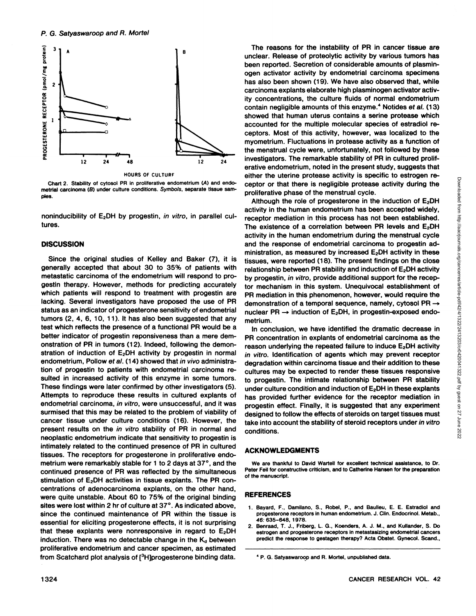

HOURS OF CULTURF

Chart 2. Stability of cytosol PR in proliferative endometrium (A) and endometrial carcinoma (B) under culture conditions. Symbols, separate tissue sam ples.

noninducibility of  $E_2$ DH by progestin, in vitro, in parallel cultures.

#### **DISCUSSION**

Since the original studies of Kelley and Baker (7), it is generally accepted that about 30 to 35% of patients with metastatic carcinoma of the endometrium will respond to pro gestin therapy. However, methods for predicting accurately which patients will respond to treatment with progestin are lacking. Several investigators have proposed the use of PR status as an indicator of progesterone sensitivity of endometrial tumors (2, 4, 6, 10, 11). It has also been suggested that any test which reflects the presence of a functional PR would be a better indicator of progestin reponsiveness than a mere dem onstration of PR in tumors (12). Indeed, following the demon stration of induction of  $E_2$ DH activity by progestin in normal endometrium, Pollow et al. (14) showed that in vivo administration of progestin to patients with endometrial carcinoma re sulted in increased activity of this enzyme in some tumors. These findings were later confirmed by other investigators (5). Attempts to reproduce these results in cultured expiants of endometrial carcinoma, in vitro, were unsuccessful, and it was surmised that this may be related to the problem of viability of cancer tissue under culture conditions (16). However, the present results on the in vitro stability of PR in normal and neoplastic endometrium indicate that sensitivity to progestin is intimately related to the continued presence of PR in cultured tissues. The receptors for progesterone in proliferative endo metrium were remarkably stable for 1 to 2 days at 37°, and the continued presence of PR was reflected by the simultaneous stimulation of  $E_2$ DH activities in tissue explants. The PR concentrations of adenocarcinoma explants, on the other hand, were quite unstable. About 60 to 75% of the original binding sites were lost within 2 hr of culture at 37°. As indicated above, since the continued maintenance of PR within the tissue is essential for eliciting progesterone effects, it is not surprising 2 that these explants were nonresponsive in regard to  $E_2DH$ induction. There was no detectable change in the  $K_d$  between proliferative endometrium and cancer specimen, as estimated from Scatchard plot analysis of [<sup>3</sup>H]progesterone binding data.

The reasons for the instability of PR in cancer tissue are unclear. Release of proteolytic activity by various tumors has been reported. Secretion of considerable amounts of plasminogen activator activity by endometrial carcinoma specimens has also been shown (19). We have also observed that, while carcinoma expiants elaborate high plasminogen activator activ ity concentrations, the culture fluids of normal endometrium contain negligible amounts of this enzyme.<sup>4</sup> Notides et al. (13) showed that human uterus contains a serine protease which accounted for the multiple molecular species of estradiol re ceptors. Most of this activity, however, was localized to the myometrium. Fluctuations in protease activity as a function of the menstrual cycle were, unfortunately, not followed by these investigators. The remarkable stability of PR in cultured prolif erative endometrium, noted in the present study, suggests that ceptor or that there is negligible protease activity during the proliferative phase of the menstrual cycle.

either the uterine protease activity is specific to estrogen re-<br>
ceptor or that there is negligible protease activity during the<br>
proliferative phase of the menstrual cycle.<br>
Although the role of progesterone in the indu Although the role of progesterone in the induction of  $E_2$ DH activity in the human endometrium has been accepted widely, receptor mediation in this process has not been established. The existence of a correlation between PR levels and  $E_2DH$ activity in the human endometrium during the menstrual cycle and the response of endometrial carcinoma to progestin ad ministration, as measured by increased  $E_2$ DH activity in these tissues, were reported (18). The present findings on the close relationship between PR stability and induction of  $E_2$ DH activity by progestin, in vitro, provide additional support for the recep tor mechanism in this system. Unequivocal establishment of PR mediation in this phenomenon, however, would require the demonstration of a temporal sequence, namely, cytosol PR —» nuclear PR  $\rightarrow$  induction of E<sub>2</sub>DH, in progestin-exposed endometrium.

In conclusion, we have identified the dramatic decrease in PR concentration in explants of endometrial carcinoma as the reason underlying the repeated failure to induce E<sub>2</sub>DH activity in vitro. Identification of agents which may prevent receptor degradation within carcinoma tissue and their addition to these cultures may be expected to render these tissues responsive to progestin. The intimate relationship between PR stability under culture condition and induction of E<sub>2</sub>DH in these explants has provided further evidence for the receptor mediation in progestin effect. Finally, it is suggested that any experiment designed to follow the effects of steroids on target tissues must take into account the stability of steroid receptors under in vitro conditions.

## **ACKNOWLEDGMENTS**

We are thankful to David Wartell for excellent technical assistance, to Dr. Peter Feil for constructive criticism, and to Catherine Hansen for the preparation of the manuscript.

#### **REFERENCES**

- 1. Bayard, F., Damilano, S., Robel, P., and Baulieu, E. E. Estradiol and progesterone receptors in human endometrium. J. Clin. Endocrinol. Metab., 46: 635-648, 1978.
- 2. Benraad, T. J., Friberg, L. G., Koenders. A. J. M., and Kullander, S. Do estrogen and progesterone receptors in metastasizing endometrial cancers predict the response to gestagen therapy? Acta Obstet. Gynecol. Scand.,

<sup>&#</sup>x27; P. G. Satyaswaroop and R. Mortel, unpublished data.